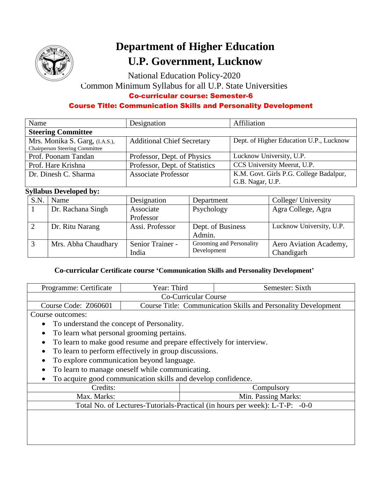

# **Department of Higher Education U.P. Government, Lucknow**

National Education Policy-2020

Common Minimum Syllabus for all U.P. State Universities

### Co-curricular course: Semester-6

## Course Title: Communication Skills and Personality Development

| Name                                  | Designation                       | Affiliation                             |
|---------------------------------------|-----------------------------------|-----------------------------------------|
| <b>Steering Committee</b>             |                                   |                                         |
| Mrs. Monika S. Garg, (I.A.S.),        | <b>Additional Chief Secretary</b> | Dept. of Higher Education U.P., Lucknow |
| <b>Chairperson Steering Committee</b> |                                   |                                         |
| Prof. Poonam Tandan                   | Professor, Dept. of Physics       | Lucknow University, U.P.                |
| Prof. Hare Krishna                    | Professor, Dept. of Statistics    | CCS University Meerut, U.P.             |
| Dr. Dinesh C. Sharma                  | <b>Associate Professor</b>        | K.M. Govt. Girls P.G. College Badalpur, |
|                                       |                                   | G.B. Nagar, U.P.                        |

## **Syllabus Developed by:**

| S.N | Name                | Designation      | Department               | College/ University      |
|-----|---------------------|------------------|--------------------------|--------------------------|
|     | Dr. Rachana Singh   | Associate        | Psychology               | Agra College, Agra       |
|     |                     | Professor        |                          |                          |
|     | Dr. Ritu Narang     | Assi. Professor  | Dept. of Business        | Lucknow University, U.P. |
|     |                     |                  | Admin.                   |                          |
|     | Mrs. Abha Chaudhary | Senior Trainer - | Grooming and Personality | Aero Aviation Academy,   |
|     |                     | India            | Development              | Chandigarh               |

## **Co-curricular Certificate course 'Communication Skills and Personality Development'**

| Programme: Certificate                                                     | Year: Third                                                           |  | Semester: Sixth     |  |
|----------------------------------------------------------------------------|-----------------------------------------------------------------------|--|---------------------|--|
| <b>Co-Curricular Course</b>                                                |                                                                       |  |                     |  |
| Course Code: Z060601                                                       | <b>Course Title: Communication Skills and Personality Development</b> |  |                     |  |
| Course outcomes:                                                           |                                                                       |  |                     |  |
| To understand the concept of Personality.                                  |                                                                       |  |                     |  |
| To learn what personal grooming pertains.<br>$\bullet$                     |                                                                       |  |                     |  |
| To learn to make good resume and prepare effectively for interview.        |                                                                       |  |                     |  |
| To learn to perform effectively in group discussions.                      |                                                                       |  |                     |  |
| To explore communication beyond language.                                  |                                                                       |  |                     |  |
| To learn to manage oneself while communicating.                            |                                                                       |  |                     |  |
| To acquire good communication skills and develop confidence.               |                                                                       |  |                     |  |
| Credits:                                                                   |                                                                       |  | Compulsory          |  |
| Max. Marks:                                                                |                                                                       |  | Min. Passing Marks: |  |
| Total No. of Lectures-Tutorials-Practical (in hours per week): L-T-P: -0-0 |                                                                       |  |                     |  |
|                                                                            |                                                                       |  |                     |  |
|                                                                            |                                                                       |  |                     |  |
|                                                                            |                                                                       |  |                     |  |
|                                                                            |                                                                       |  |                     |  |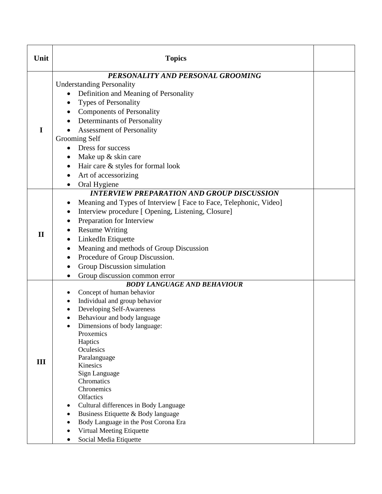| Unit         | <b>Topics</b>                                                                                                                                                                                                                                                                                                                                                                                                                                                                                                                  |  |
|--------------|--------------------------------------------------------------------------------------------------------------------------------------------------------------------------------------------------------------------------------------------------------------------------------------------------------------------------------------------------------------------------------------------------------------------------------------------------------------------------------------------------------------------------------|--|
|              | PERSONALITY AND PERSONAL GROOMING<br><b>Understanding Personality</b><br>Definition and Meaning of Personality<br><b>Types of Personality</b><br>٠                                                                                                                                                                                                                                                                                                                                                                             |  |
| I            | <b>Components of Personality</b><br>Determinants of Personality<br><b>Assessment of Personality</b><br>Grooming Self<br>Dress for success<br>$\bullet$<br>Make up & skin care<br>$\bullet$<br>Hair care & styles for formal look<br>$\bullet$<br>Art of accessorizing<br>Oral Hygiene                                                                                                                                                                                                                                          |  |
| $\mathbf{I}$ | <b>INTERVIEW PREPARATION AND GROUP DISCUSSION</b><br>Meaning and Types of Interview [ Face to Face, Telephonic, Video]<br>Interview procedure [ Opening, Listening, Closure]<br>Preparation for Interview<br><b>Resume Writing</b><br>LinkedIn Etiquette<br>٠<br>Meaning and methods of Group Discussion<br>$\bullet$<br>Procedure of Group Discussion.<br>$\bullet$<br>Group Discussion simulation<br>Group discussion common error                                                                                           |  |
| III          | <b>BODY LANGUAGE AND BEHAVIOUR</b><br>Concept of human behavior<br>Individual and group behavior<br>٠<br>Developing Self-Awareness<br>Behaviour and body language<br>Dimensions of body language:<br>Proxemics<br>Haptics<br>Oculesics<br>Paralanguage<br>Kinesics<br>Sign Language<br>Chromatics<br>Chronemics<br><b>Olfactics</b><br>Cultural differences in Body Language<br>$\bullet$<br>Business Etiquette & Body language<br>Body Language in the Post Corona Era<br>Virtual Meeting Etiquette<br>Social Media Etiquette |  |